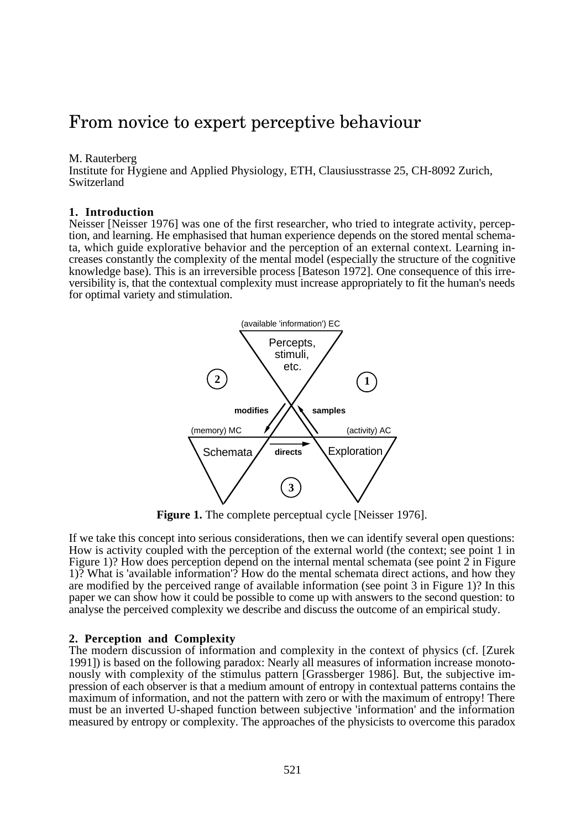### From novice to expert perceptive behaviour

M. Rauterberg

Institute for Hygiene and Applied Physiology, ETH, Clausiusstrasse 25, CH-8092 Zurich, Switzerland

#### **1. Introduction**

Neisser [Neisser 1976] was one of the first researcher, who tried to integrate activity, perception, and learning. He emphasised that human experience depends on the stored mental schemata, which guide explorative behavior and the perception of an external context. Learning increases constantly the complexity of the mental model (especially the structure of the cognitive knowledge base). This is an irreversible process [Bateson 1972]. One consequence of this irreversibility is, that the contextual complexity must increase appropriately to fit the human's needs for optimal variety and stimulation.



**Figure 1.** The complete perceptual cycle [Neisser 1976].

If we take this concept into serious considerations, then we can identify several open questions: How is activity coupled with the perception of the external world (the context; see point 1 in Figure 1)? How does perception depend on the internal mental schemata (see point 2 in Figure 1)? What is 'available information'? How do the mental schemata direct actions, and how they are modified by the perceived range of available information (see point 3 in Figure 1)? In this paper we can show how it could be possible to come up with answers to the second question: to analyse the perceived complexity we describe and discuss the outcome of an empirical study.

#### **2. Perception and Complexity**

The modern discussion of information and complexity in the context of physics (cf. [Zurek 1991]) is based on the following paradox: Nearly all measures of information increase monotonously with complexity of the stimulus pattern [Grassberger 1986]. But, the subjective impression of each observer is that a medium amount of entropy in contextual patterns contains the maximum of information, and not the pattern with zero or with the maximum of entropy! There must be an inverted U-shaped function between subjective 'information' and the information measured by entropy or complexity. The approaches of the physicists to overcome this paradox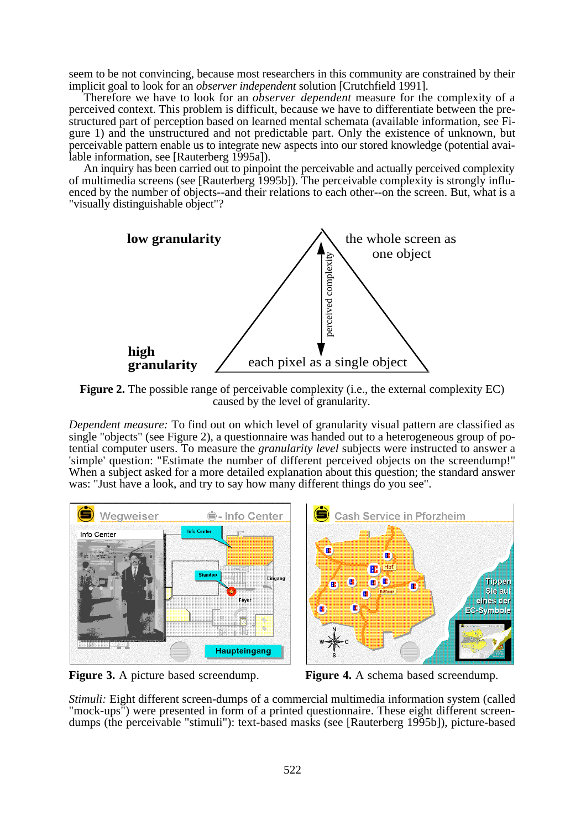seem to be not convincing, because most researchers in this community are constrained by their implicit goal to look for an *observer independent* solution [Crutchfield 1991].

Therefore we have to look for an *observer dependent* measure for the complexity of a perceived context. This problem is difficult, because we have to differentiate between the prestructured part of perception based on learned mental schemata (available information, see Figure 1) and the unstructured and not predictable part. Only the existence of unknown, but perceivable pattern enable us to integrate new aspects into our stored knowledge (potential available information, see [Rauterberg 1995a]).

An inquiry has been carried out to pinpoint the perceivable and actually perceived complexity of multimedia screens (see [Rauterberg 1995b]). The perceivable complexity is strongly influenced by the number of objects--and their relations to each other--on the screen. But, what is a "visually distinguishable object"?



**Figure 2.** The possible range of perceivable complexity (i.e., the external complexity EC) caused by the level of granularity.

*Dependent measure:* To find out on which level of granularity visual pattern are classified as single "objects" (see Figure 2), a questionnaire was handed out to a heterogeneous group of potential computer users. To measure the *granularity level* subjects were instructed to answer a 'simple' question: "Estimate the number of different perceived objects on the screendump!" When a subject asked for a more detailed explanation about this question; the standard answer was: "Just have a look, and try to say how many different things do you see".



**Figure 3.** A picture based screendump. **Figure 4.** A schema based screendump.

*Stimuli:* Eight different screen-dumps of a commercial multimedia information system (called "mock-ups") were presented in form of a printed questionnaire. These eight different screendumps (the perceivable "stimuli"): text-based masks (see [Rauterberg 1995b]), picture-based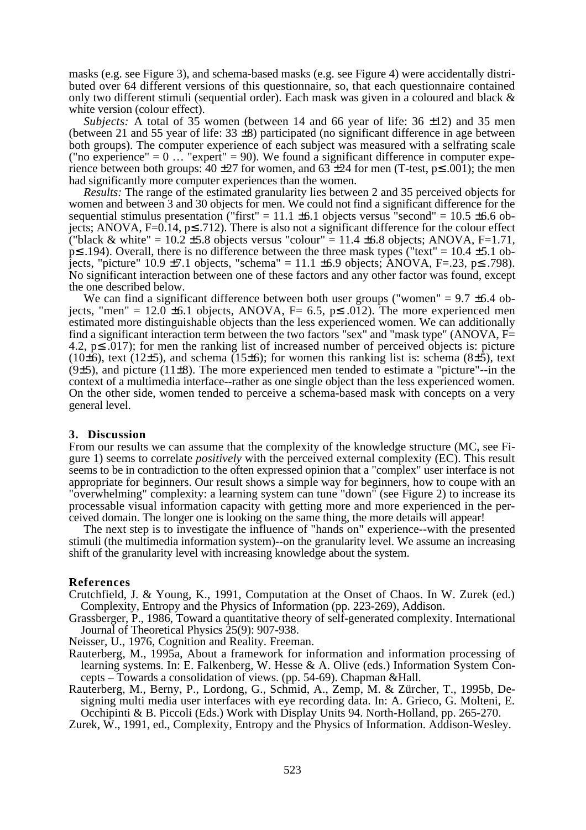masks (e.g. see Figure 3), and schema-based masks (e.g. see Figure 4) were accidentally distributed over 64 different versions of this questionnaire, so, that each questionnaire contained only two different stimuli (sequential order). Each mask was given in a coloured and black & white version (colour effect).

*Subjects:* A total of 35 women (between 14 and 66 year of life: 36  $\pm$ 12) and 35 men (between 21 and 55 year of life:  $33 \pm 8$ ) participated (no significant difference in age between both groups). The computer experience of each subject was measured with a selfrating scale ("no experience" =  $0 \dots$  "expert" = 90). We found a significant difference in computer experience between both groups:  $40 \pm 27$  for women, and  $63 \pm 24$  for men (T-test,  $p \le 0.001$ ); the men had significantly more computer experiences than the women.

*Results:* The range of the estimated granularity lies between 2 and 35 perceived objects for women and between 3 and 30 objects for men. We could not find a significant difference for the sequential stimulus presentation ("first" = 11.1  $\pm$ 6.1 objects versus "second" = 10.5  $\pm$ 6.6 objects; ANOVA, F=0.14, p≤ .712). There is also not a significant difference for the colour effect ("black & white" =  $10.2 \pm 5.8$  objects versus "colour" =  $11.4 \pm 6.8$  objects; ANOVA, F=1.71, p≤ .194). Overall, there is no difference between the three mask types ("text" = 10.4 ±5.1 objects, "picture" 10.9 ±7.1 objects, "schema" = 11.1 ±6.9 objects;  $\angle ANOVA$ , F=.23, p≤ .798). No significant interaction between one of these factors and any other factor was found, except the one described below.

We can find a significant difference between both user groups ("women" =  $9.7 \pm 6.4$  objects, "men" = 12.0  $\pm$ 6.1 objects, ANOVA, F= 6.5, p $\leq$  .012). The more experienced men estimated more distinguishable objects than the less experienced women. We can additionally find a significant interaction term between the two factors "sex" and "mask type" (ANOVA,  $F=$ 4.2, p≤ .017); for men the ranking list of increased number of perceived objects is: picture (10 $\pm$ 6), text (12 $\pm$ 5), and schema (15 $\pm$ 6); for women this ranking list is: schema (8 $\pm$ 5), text  $(9±5)$ , and picture  $(11±8)$ . The more experienced men tended to estimate a "picture"--in the context of a multimedia interface--rather as one single object than the less experienced women. On the other side, women tended to perceive a schema-based mask with concepts on a very general level.

#### **3. Discussion**

From our results we can assume that the complexity of the knowledge structure (MC, see Figure 1) seems to correlate *positively* with the perceived external complexity (EC). This result seems to be in contradiction to the often expressed opinion that a "complex" user interface is not appropriate for beginners. Our result shows a simple way for beginners, how to coupe with an "overwhelming" complexity: a learning system can tune "down" (see Figure 2) to increase its processable visual information capacity with getting more and more experienced in the perceived domain. The longer one is looking on the same thing, the more details will appear!

The next step is to investigate the influence of "hands on" experience--with the presented stimuli (the multimedia information system)--on the granularity level. We assume an increasing shift of the granularity level with increasing knowledge about the system.

#### **References**

- Crutchfield, J. & Young, K., 1991, Computation at the Onset of Chaos. In W. Zurek (ed.) Complexity, Entropy and the Physics of Information (pp. 223-269), Addison.
- Grassberger, P., 1986, Toward a quantitative theory of self-generated complexity. International Journal of Theoretical Physics 25(9): 907-938.

Neisser, U., 1976, Cognition and Reality. Freeman.

- Rauterberg, M., 1995a, About a framework for information and information processing of learning systems. In: E. Falkenberg, W. Hesse & A. Olive (eds.) Information System Concepts – Towards a consolidation of views. (pp. 54-69). Chapman &Hall.
- Rauterberg, M., Berny, P., Lordong, G., Schmid, A., Zemp, M. & Zürcher, T., 1995b, Designing multi media user interfaces with eye recording data. In: A. Grieco, G. Molteni, E. Occhipinti & B. Piccoli (Eds.) Work with Display Units 94. North-Holland, pp. 265-270.

Zurek, W., 1991, ed., Complexity, Entropy and the Physics of Information. Addison-Wesley.